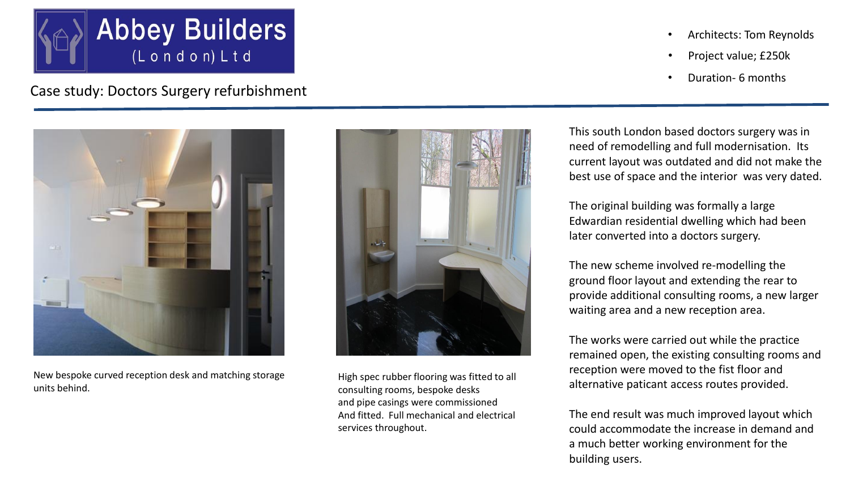

Case study: Doctors Surgery refurbishment



New bespoke curved reception desk and matching storage units behind.



High spec rubber flooring was fitted to all consulting rooms, bespoke desks and pipe casings were commissioned And fitted. Full mechanical and electrical services throughout.

- Architects: Tom Reynolds
- Project value; £250k
- Duration- 6 months

This south London based doctors surgery was in need of remodelling and full modernisation. Its current layout was outdated and did not make the best use of space and the interior was very dated.

The original building was formally a large Edwardian residential dwelling which had been later converted into a doctors surgery.

The new scheme involved re-modelling the ground floor layout and extending the rear to provide additional consulting rooms, a new larger waiting area and a new reception area.

The works were carried out while the practice remained open, the existing consulting rooms and reception were moved to the fist floor and alternative paticant access routes provided.

The end result was much improved layout which could accommodate the increase in demand and a much better working environment for the building users.